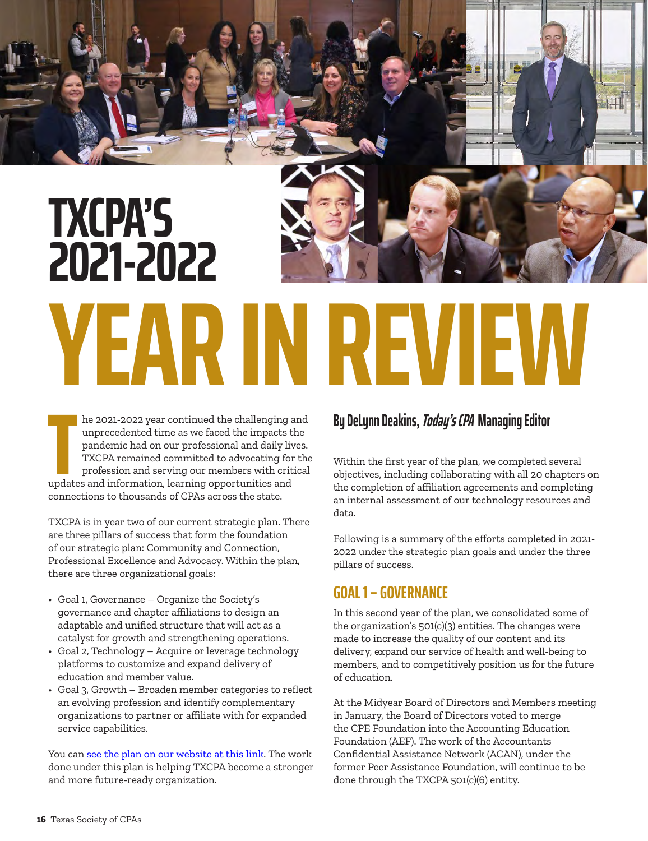

**THE MANUS INTERNATION CONTROLLED THE MANUSTRE INTERNATIONAL PROPERTIES AND THE TRIST THE TRIST THE TRIST OF THE TRIST OF THE UPDATES AND CONDUCT THE UPDATES AND CONDUCT UPDATES AND CONDUCTED AS A CONDUCTED AS A CONDUCT OF** he 2021-2022 year continued the challenging and unprecedented time as we faced the impacts the pandemic had on our professional and daily lives. TXCPA remained committed to advocating for the profession and serving our members with critical connections to thousands of CPAs across the state.

TXCPA is in year two of our current strategic plan. There are three pillars of success that form the foundation of our strategic plan: Community and Connection, Professional Excellence and Advocacy. Within the plan, there are three organizational goals:

- Goal 1, Governance Organize the Society's governance and chapter affiliations to design an adaptable and unified structure that will act as a catalyst for growth and strengthening operations.
- Goal 2, Technology Acquire or leverage technology platforms to customize and expand delivery of education and member value.
- Goal 3, Growth Broaden member categories to reflect an evolving profession and identify complementary organizations to partner or affiliate with for expanded service capabilities.

You can [see the plan on our website at this link](https://www.tx.cpa/about/governance/strategic-plan). The work done under this plan is helping TXCPA become a stronger and more future-ready organization.

# **By DeLynn Deakins, Today's CPA Managing Editor**

Within the first year of the plan, we completed several objectives, including collaborating with all 20 chapters on the completion of affiliation agreements and completing an internal assessment of our technology resources and data.

Following is a summary of the efforts completed in 2021- 2022 under the strategic plan goals and under the three pillars of success.

# **GOAL 1 – GOVERNANCE**

In this second year of the plan, we consolidated some of the organization's 501(c)(3) entities. The changes were made to increase the quality of our content and its delivery, expand our service of health and well-being to members, and to competitively position us for the future of education.

At the Midyear Board of Directors and Members meeting in January, the Board of Directors voted to merge the CPE Foundation into the Accounting Education Foundation (AEF). The work of the Accountants Confidential Assistance Network (ACAN), under the former Peer Assistance Foundation, will continue to be done through the TXCPA 501(c)(6) entity.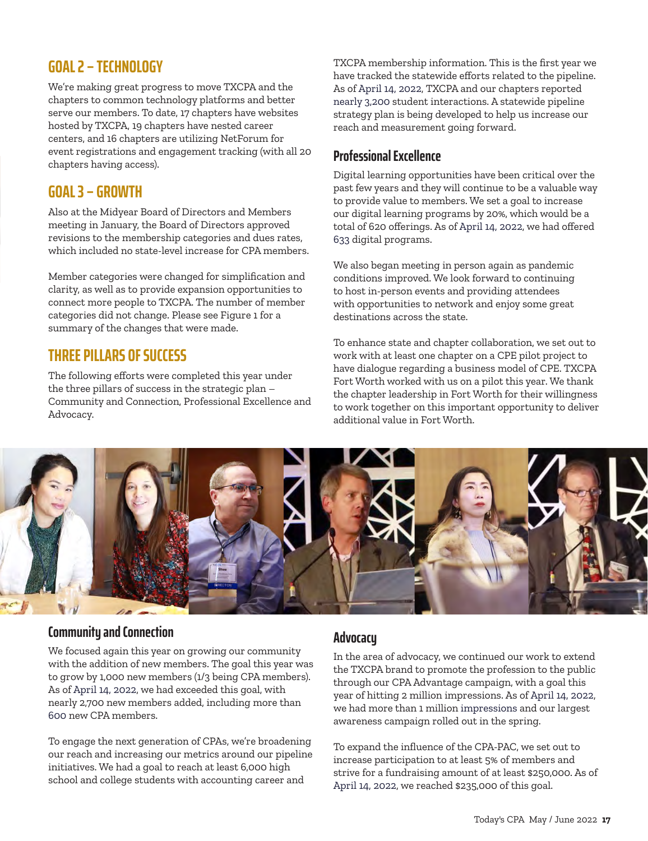# **GOAL 2 – TECHNOLOGY**

We're making great progress to move TXCPA and the chapters to common technology platforms and better serve our members. To date, 17 chapters have websites hosted by TXCPA, 19 chapters have nested career centers, and 16 chapters are utilizing NetForum for event registrations and engagement tracking (with all 20 chapters having access).

### **GOAL 3 – GROWTH**

Also at the Midyear Board of Directors and Members meeting in January, the Board of Directors approved revisions to the membership categories and dues rates, which included no state-level increase for CPA members.

Member categories were changed for simplification and clarity, as well as to provide expansion opportunities to connect more people to TXCPA. The number of member categories did not change. Please see Figure 1 for a summary of the changes that were made.

# **THREE PILLARS OF SUCCESS**

The following efforts were completed this year under the three pillars of success in the strategic plan – Community and Connection, Professional Excellence and Advocacy.

TXCPA membership information. This is the first year we have tracked the statewide efforts related to the pipeline. As of April 14, 2022, TXCPA and our chapters reported nearly 3,200 student interactions. A statewide pipeline strategy plan is being developed to help us increase our reach and measurement going forward.

#### **Professional Excellence**

Digital learning opportunities have been critical over the past few years and they will continue to be a valuable way to provide value to members. We set a goal to increase our digital learning programs by 20%, which would be a total of 620 offerings. As of April 14, 2022, we had offered 633 digital programs.

We also began meeting in person again as pandemic conditions improved. We look forward to continuing to host in-person events and providing attendees with opportunities to network and enjoy some great destinations across the state.

To enhance state and chapter collaboration, we set out to work with at least one chapter on a CPE pilot project to have dialogue regarding a business model of CPE. TXCPA Fort Worth worked with us on a pilot this year. We thank the chapter leadership in Fort Worth for their willingness to work together on this important opportunity to deliver additional value in Fort Worth.



#### **Community and Connection**

We focused again this year on growing our community with the addition of new members. The goal this year was to grow by 1,000 new members (1/3 being CPA members). As of April 14, 2022, we had exceeded this goal, with nearly 2,700 new members added, including more than 600 new CPA members.

To engage the next generation of CPAs, we're broadening our reach and increasing our metrics around our pipeline initiatives. We had a goal to reach at least 6,000 high school and college students with accounting career and

#### **Advocacy**

In the area of advocacy, we continued our work to extend the TXCPA brand to promote the profession to the public through our CPA Advantage campaign, with a goal this year of hitting 2 million impressions. As of April 14, 2022, we had more than 1 million impressions and our largest awareness campaign rolled out in the spring.

To expand the influence of the CPA-PAC, we set out to increase participation to at least 5% of members and strive for a fundraising amount of at least \$250,000. As of April 14, 2022, we reached \$235,000 of this goal.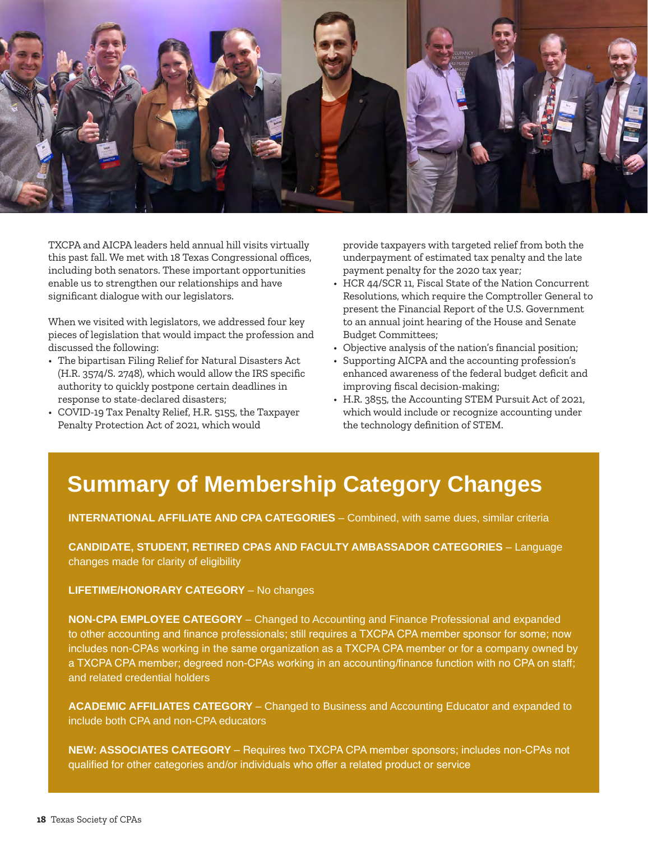

TXCPA and AICPA leaders held annual hill visits virtually this past fall. We met with 18 Texas Congressional offices, including both senators. These important opportunities enable us to strengthen our relationships and have significant dialogue with our legislators.

When we visited with legislators, we addressed four key pieces of legislation that would impact the profession and discussed the following:

- The bipartisan Filing Relief for Natural Disasters Act (H.R. 3574/S. 2748), which would allow the IRS specific authority to quickly postpone certain deadlines in response to state-declared disasters;
- COVID-19 Tax Penalty Relief, H.R. 5155, the Taxpayer Penalty Protection Act of 2021, which would

provide taxpayers with targeted relief from both the underpayment of estimated tax penalty and the late payment penalty for the 2020 tax year;

- HCR 44/SCR 11, Fiscal State of the Nation Concurrent Resolutions, which require the Comptroller General to present the Financial Report of the U.S. Government to an annual joint hearing of the House and Senate Budget Committees;
- Objective analysis of the nation's financial position;
- Supporting AICPA and the accounting profession's enhanced awareness of the federal budget deficit and improving fiscal decision-making;
- H.R. 3855, the Accounting STEM Pursuit Act of 2021, which would include or recognize accounting under the technology definition of STEM.

# **Summary of Membership Category Changes**

**INTERNATIONAL AFFILIATE AND CPA CATEGORIES** – Combined, with same dues, similar criteria

**CANDIDATE, STUDENT, RETIRED CPAS AND FACULTY AMBASSADOR CATEGORIES** – Language changes made for clarity of eligibility

**LIFETIME/HONORARY CATEGORY** – No changes

**NON-CPA EMPLOYEE CATEGORY** – Changed to Accounting and Finance Professional and expanded to other accounting and finance professionals; still requires a TXCPA CPA member sponsor for some; now includes non-CPAs working in the same organization as a TXCPA CPA member or for a company owned by a TXCPA CPA member; degreed non-CPAs working in an accounting/finance function with no CPA on staff; and related credential holders

**ACADEMIC AFFILIATES CATEGORY** – Changed to Business and Accounting Educator and expanded to include both CPA and non-CPA educators

**NEW: ASSOCIATES CATEGORY** – Requires two TXCPA CPA member sponsors; includes non-CPAs not qualified for other categories and/or individuals who offer a related product or service